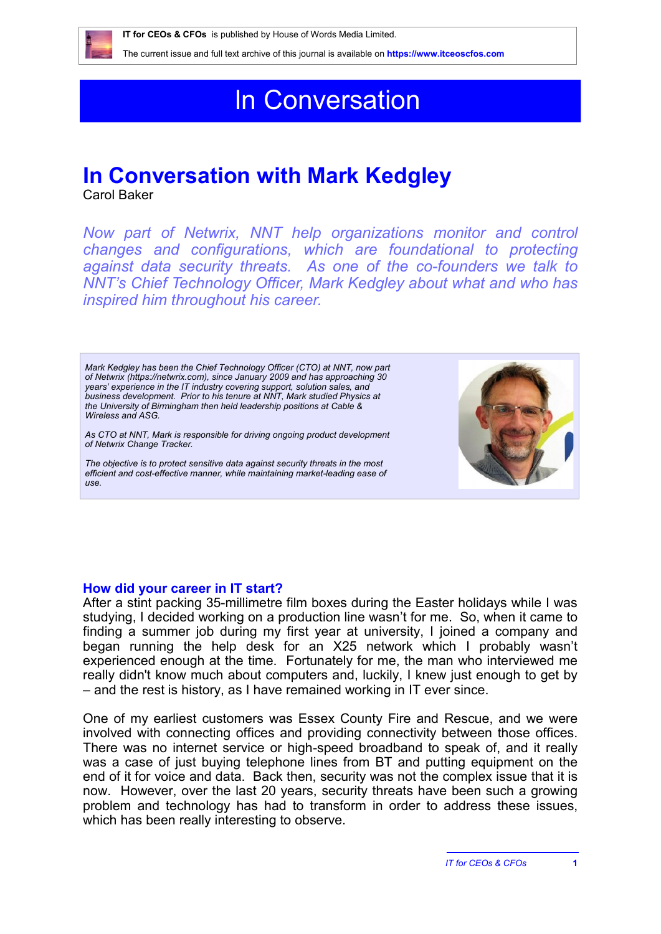

The current issue and full text archive of this journal is available on **https://www.itceoscfos.com** 

# In Conversation

## **In Conversation with Mark Kedgley**

Carol Baker

*Now part of Netwrix, NNT help organizations monitor and control changes and configurations, which are foundational to protecting against data security threats. As one of the co-founders we talk to NNT's Chief Technology Officer, Mark Kedgley about what and who has inspired him throughout his career.*

*Mark Kedgley has been the Chief Technology Officer (CTO) at NNT, now part of Netwrix (https://netwrix.com), since January 2009 and has approaching 30 years' experience in the IT industry covering support, solution sales, and business development. Prior to his tenure at NNT, Mark studied Physics at the University of Birmingham then held leadership positions at Cable & Wireless and ASG.* 

*As CTO at NNT, Mark is responsible for driving ongoing product development of Netwrix Change Tracker.* 

*The objective is to protect sensitive data against security threats in the most efficient and cost-effective manner, while maintaining market-leading ease of use.* 



#### **How did your career in IT start?**

After a stint packing 35-millimetre film boxes during the Easter holidays while I was studying, I decided working on a production line wasn't for me. So, when it came to finding a summer job during my first year at university, I joined a company and began running the help desk for an X25 network which I probably wasn't experienced enough at the time. Fortunately for me, the man who interviewed me really didn't know much about computers and, luckily, I knew just enough to get by – and the rest is history, as I have remained working in IT ever since.

One of my earliest customers was Essex County Fire and Rescue, and we were involved with connecting offices and providing connectivity between those offices. There was no internet service or high-speed broadband to speak of, and it really was a case of just buying telephone lines from BT and putting equipment on the end of it for voice and data. Back then, security was not the complex issue that it is now. However, over the last 20 years, security threats have been such a growing problem and technology has had to transform in order to address these issues, which has been really interesting to observe.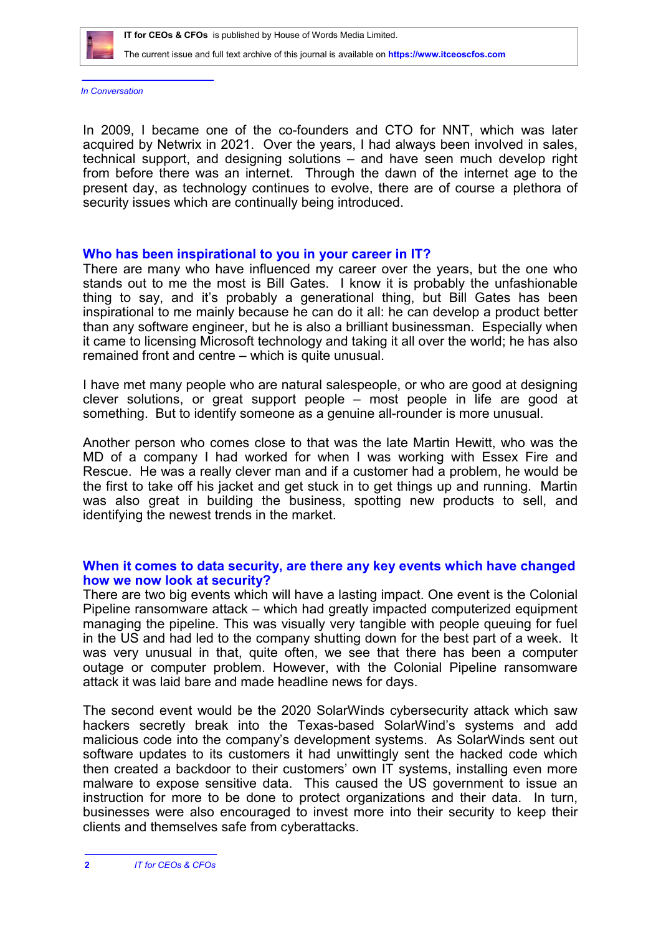

The current issue and full text archive of this journal is available on **https://www.itceoscfos.com** 

*In Conversation*

In 2009, I became one of the co-founders and CTO for NNT, which was later acquired by Netwrix in 2021. Over the years, I had always been involved in sales, technical support, and designing solutions – and have seen much develop right from before there was an internet. Through the dawn of the internet age to the present day, as technology continues to evolve, there are of course a plethora of security issues which are continually being introduced.

#### **Who has been inspirational to you in your career in IT?**

There are many who have influenced my career over the years, but the one who stands out to me the most is Bill Gates. I know it is probably the unfashionable thing to say, and it's probably a generational thing, but Bill Gates has been inspirational to me mainly because he can do it all: he can develop a product better than any software engineer, but he is also a brilliant businessman. Especially when it came to licensing Microsoft technology and taking it all over the world; he has also remained front and centre – which is quite unusual.

I have met many people who are natural salespeople, or who are good at designing clever solutions, or great support people – most people in life are good at something. But to identify someone as a genuine all-rounder is more unusual.

Another person who comes close to that was the late Martin Hewitt, who was the MD of a company I had worked for when I was working with Essex Fire and Rescue. He was a really clever man and if a customer had a problem, he would be the first to take off his jacket and get stuck in to get things up and running. Martin was also great in building the business, spotting new products to sell, and identifying the newest trends in the market.

#### **When it comes to data security, are there any key events which have changed how we now look at security?**

There are two big events which will have a lasting impact. One event is the Colonial Pipeline ransomware attack – which had greatly impacted computerized equipment managing the pipeline. This was visually very tangible with people queuing for fuel in the US and had led to the company shutting down for the best part of a week. It was very unusual in that, quite often, we see that there has been a computer outage or computer problem. However, with the Colonial Pipeline ransomware attack it was laid bare and made headline news for days.

The second event would be the 2020 SolarWinds cybersecurity attack which saw hackers secretly break into the Texas-based SolarWind's systems and add malicious code into the company's development systems. As SolarWinds sent out software updates to its customers it had unwittingly sent the hacked code which then created a backdoor to their customers' own IT systems, installing even more malware to expose sensitive data. This caused the US government to issue an instruction for more to be done to protect organizations and their data. In turn, businesses were also encouraged to invest more into their security to keep their clients and themselves safe from cyberattacks.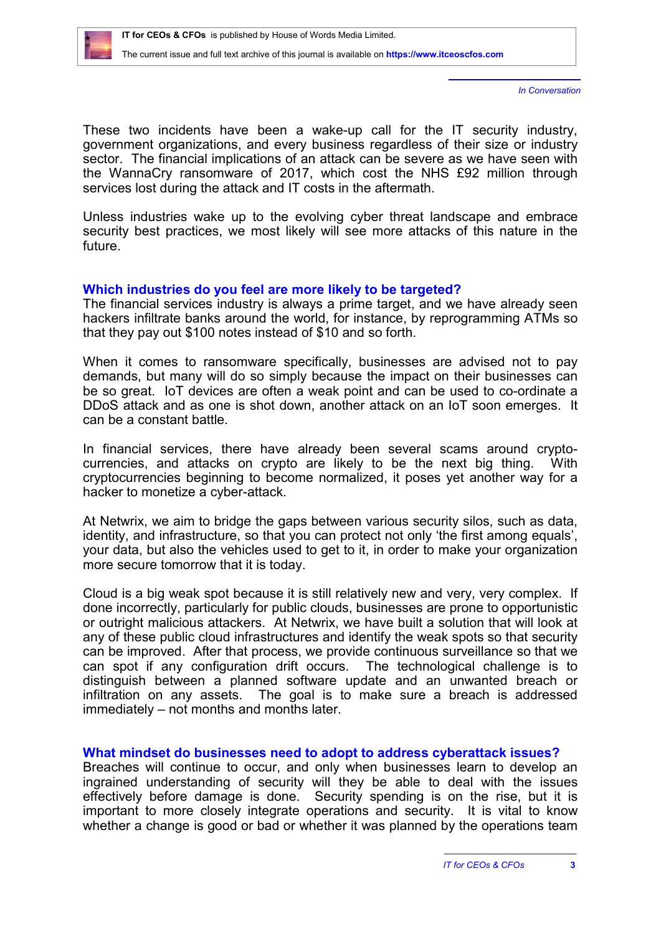

*In Conversation*

These two incidents have been a wake-up call for the IT security industry, government organizations, and every business regardless of their size or industry sector. The financial implications of an attack can be severe as we have seen with the WannaCry ransomware of 2017, which cost the NHS £92 million through services lost during the attack and IT costs in the aftermath.

Unless industries wake up to the evolving cyber threat landscape and embrace security best practices, we most likely will see more attacks of this nature in the future.

### **Which industries do you feel are more likely to be targeted?**

The financial services industry is always a prime target, and we have already seen hackers infiltrate banks around the world, for instance, by reprogramming ATMs so that they pay out \$100 notes instead of \$10 and so forth.

When it comes to ransomware specifically, businesses are advised not to pay demands, but many will do so simply because the impact on their businesses can be so great. IoT devices are often a weak point and can be used to co-ordinate a DDoS attack and as one is shot down, another attack on an IoT soon emerges. It can be a constant battle.

In financial services, there have already been several scams around cryptocurrencies, and attacks on crypto are likely to be the next big thing. With cryptocurrencies beginning to become normalized, it poses yet another way for a hacker to monetize a cyber-attack.

At Netwrix, we aim to bridge the gaps between various security silos, such as data, identity, and infrastructure, so that you can protect not only 'the first among equals', your data, but also the vehicles used to get to it, in order to make your organization more secure tomorrow that it is today.

Cloud is a big weak spot because it is still relatively new and very, very complex. If done incorrectly, particularly for public clouds, businesses are prone to opportunistic or outright malicious attackers. At Netwrix, we have built a solution that will look at any of these public cloud infrastructures and identify the weak spots so that security can be improved. After that process, we provide continuous surveillance so that we can spot if any configuration drift occurs. The technological challenge is to distinguish between a planned software update and an unwanted breach or infiltration on any assets. The goal is to make sure a breach is addressed immediately – not months and months later.

#### **What mindset do businesses need to adopt to address cyberattack issues?**

Breaches will continue to occur, and only when businesses learn to develop an ingrained understanding of security will they be able to deal with the issues effectively before damage is done. Security spending is on the rise, but it is important to more closely integrate operations and security. It is vital to know whether a change is good or bad or whether it was planned by the operations team